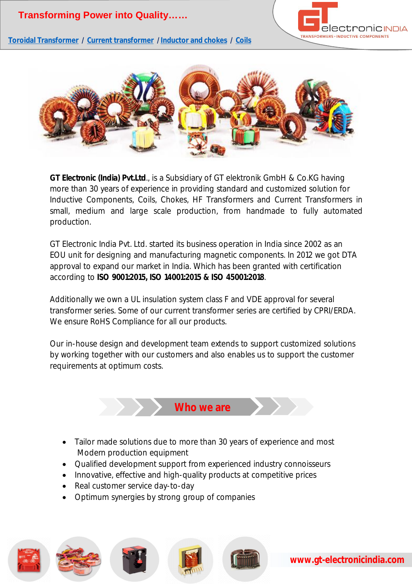

**Toroidal Transformer / Current transformer / Inductor and chokes / Coils**



**GT Electronic (India) Pvt.Ltd**., is a Subsidiary of GT elektronik GmbH & Co.KG having more than 30 years of experience in providing standard and customized solution for Inductive Components, Coils, Chokes, HF Transformers and Current Transformers in small, medium and large scale production, from handmade to fully automated production.

GT Electronic India Pvt. Ltd. started its business operation in India since 2002 as an EOU unit for designing and manufacturing magnetic components. In 2012 we got DTA approval to expand our market in India. Which has been granted with certification according to **ISO 9001:2015, ISO 14001:2015 & ISO 45001:2018**.

Additionally we own a UL insulation system class F and VDE approval for several transformer series. Some of our current transformer series are certified by CPRI/ERDA. We ensure RoHS Compliance for all our products.

Our in-house design and development team extends to support customized solutions by working together with our customers and also enables us to support the customer requirements at optimum costs.



- Tailor made solutions due to more than 30 years of experience and most Modern production equipment
- Qualified development support from experienced industry connoisseurs
- Innovative, effective and high-quality products at competitive prices
- Real customer service day-to-day
- Optimum synergies by strong group of companies







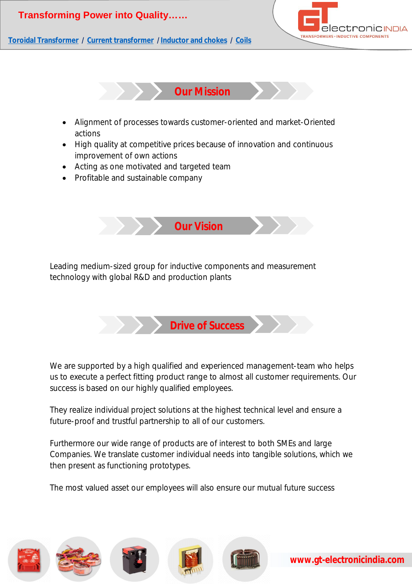



**Toroidal Transformer / Current transformer / Inductor and chokes / Coils**



- Alignment of processes towards customer-oriented and market-Oriented actions
- High quality at competitive prices because of innovation and continuous improvement of own actions
- Acting as one motivated and targeted team
- Profitable and sustainable company



Leading medium-sized group for inductive components and measurement technology with global R&D and production plants



We are supported by a high qualified and experienced management-team who helps us to execute a perfect fitting product range to almost all customer requirements. Our success is based on our highly qualified employees.

They realize individual project solutions at the highest technical level and ensure a future-proof and trustful partnership to all of our customers.

Furthermore our wide range of products are of interest to both SMEs and large Companies. We translate customer individual needs into tangible solutions, which we then present as functioning prototypes.

The most valued asset our employees will also ensure our mutual future success

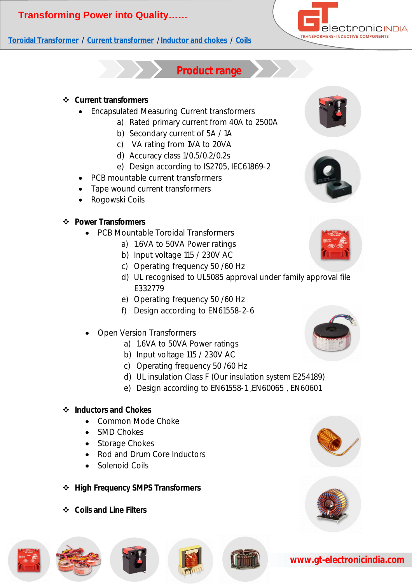### **Toroidal Transformer / Current transformer / Inductor and chokes / Coils**



### **Product range**

#### **Current transformers**

- Encapsulated Measuring Current transformers
	- a) Rated primary current from 40A to 2500A
	- b) Secondary current of 5A / 1A
	- c) VA rating from 1VA to 20VA
	- d) Accuracy class 1/0.5/0.2/0.2s
	- e) Design according to IS2705, IEC61869-2
- PCB mountable current transformers
- Tape wound current transformers
- Rogowski Coils

#### **Power Transformers**

- PCB Mountable Toroidal Transformers
	- a) 1.6VA to 50VA Power ratings
	- b) Input voltage 115 / 230V AC
	- c) Operating frequency 50 /60 Hz
	- d) UL recognised to UL5085 approval under family approval file E332779
	- e) Operating frequency 50 /60 Hz
	- f) Design according to EN61558-2-6
- Open Version Transformers
	- a) 1.6VA to 50VA Power ratings
	- b) Input voltage 115 / 230V AC
	- c) Operating frequency 50 /60 Hz
	- d) UL insulation Class F (Our insulation system E254189)
	- e) Design according to EN61558-1 ,EN60065 , EN60601

#### **Inductors and Chokes**

- Common Mode Choke
- SMD Chokes
- Storage Chokes
- Rod and Drum Core Inductors
- Solenoid Coils
- **High Frequency SMPS Transformers**
- **Coils and Line Filters**



















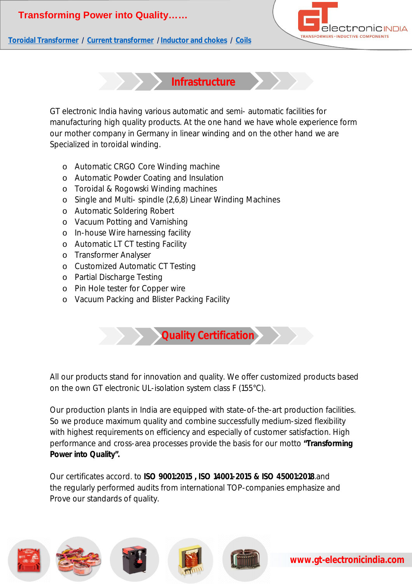

**Toroidal Transformer / Current transformer / Inductor and chokes / Coils**

**Infrastructure**

GT electronic India having various automatic and semi- automatic facilities for manufacturing high quality products. At the one hand we have whole experience form our mother company in Germany in linear winding and on the other hand we are Specialized in toroidal winding.

- o Automatic CRGO Core Winding machine
- o Automatic Powder Coating and Insulation
- o Toroidal & Rogowski Winding machines
- o Single and Multi- spindle (2,6,8) Linear Winding Machines
- o Automatic Soldering Robert
- o Vacuum Potting and Varnishing
- o In-house Wire harnessing facility
- o Automatic LT CT testing Facility
- o Transformer Analyser
- o Customized Automatic CT Testing
- o Partial Discharge Testing
- o Pin Hole tester for Copper wire
- o Vacuum Packing and Blister Packing Facility

**Quality Certification**

All our products stand for innovation and quality. We offer customized products based on the own GT electronic UL-isolation system class F (155°C).

Our production plants in India are equipped with state-of-the-art production facilities. So we produce maximum quality and combine successfully medium-sized flexibility with highest requirements on efficiency and especially of customer satisfaction. High performance and cross-area processes provide the basis for our motto **"Transforming Power into Quality".**

Our certificates accord. to **ISO 9001:2015 , ISO 14001-2015 & ISO 45001:2018**.and the regularly performed audits from international TOP-companies emphasize and Prove our standards of quality.